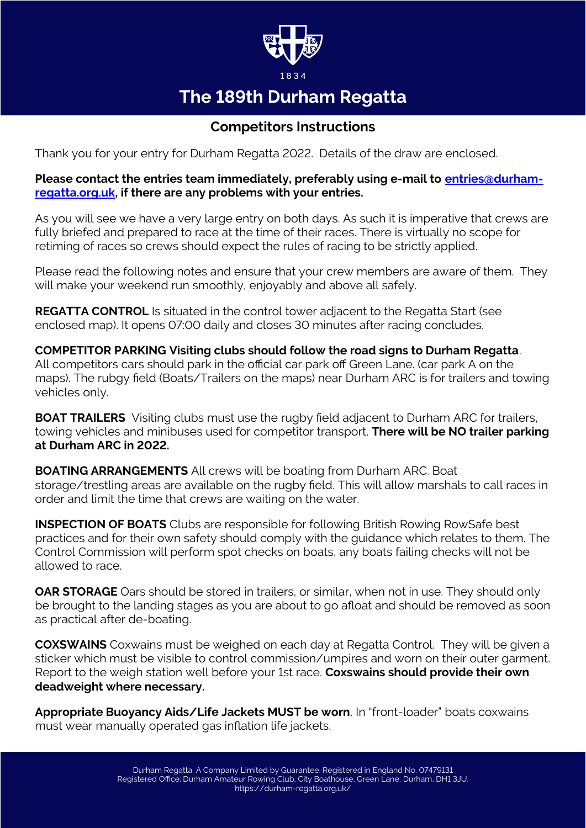

# The 189th Durham Regatta

# **Competitors Instructions**

Thank you for your entry for Durham Regatta 2022. Details of the draw are enclosed.

#### **Please contact the entries team immediately, preferably using e-mail to [entries@durham](mailto:entries@durham-regatta.org.uk)[regatta.org.uk](mailto:entries@durham-regatta.org.uk), if there are any problems with your entries.**

As you will see we have a very large entry on both days. As such it is imperative that crews are fully briefed and prepared to race at the time of their races. There is virtually no scope for retiming of races so crews should expect the rules of racing to be strictly applied.

Please read the following notes and ensure that your crew members are aware of them. They will make your weekend run smoothly, enjoyably and above all safely.

**REGATTA CONTROL** Is situated in the control tower adjacent to the Regatta Start (see enclosed map). It opens 07:00 daily and closes 30 minutes after racing concludes.

**COMPETITOR PARKING Visiting clubs should follow the road signs to Durham Regatta**. All competitors cars should park in the official car park off Green Lane. (car park A on the maps). The rubgy field (Boats/Trailers on the maps) near Durham ARC is for trailers and towing vehicles only.

**BOAT TRAILERS** Visiting clubs must use the rugby field adjacent to Durham ARC for trailers, towing vehicles and minibuses used for competitor transport. **There will be NO trailer parking at Durham ARC in 2022.**

**BOATING ARRANGEMENTS** All crews will be boating from Durham ARC. Boat storage/trestling areas are available on the rugby field. This will allow marshals to call races in order and limit the time that crews are waiting on the water.

**INSPECTION OF BOATS** Clubs are responsible for following British Rowing RowSafe best practices and for their own safety should comply with the guidance which relates to them. The Control Commission will perform spot checks on boats, any boats failing checks will not be allowed to race.

**OAR STORAGE** Oars should be stored in trailers, or similar, when not in use. They should only be brought to the landing stages as you are about to go afloat and should be removed as soon as practical after de-boating.

**COXSWAINS** Coxwains must be weighed on each day at Regatta Control. They will be given a sticker which must be visible to control commission/umpires and worn on their outer garment. Report to the weigh station well before your 1st race. **Coxswains should provide their own deadweight where necessary.**

**Appropriate Buoyancy Aids/Life Jackets MUST be worn**. In "front-loader" boats coxwains must wear manually operated gas inflation life jackets.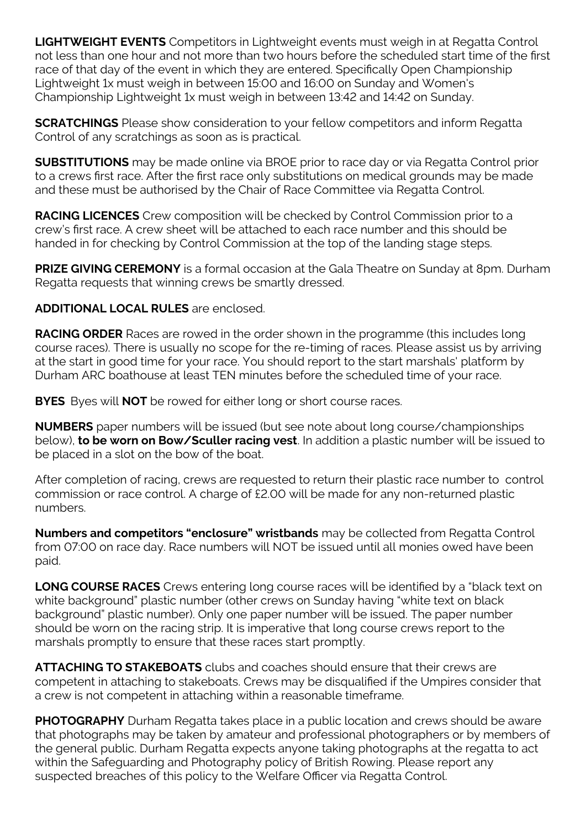**LIGHTWEIGHT EVENTS** Competitors in Lightweight events must weigh in at Regatta Control not less than one hour and not more than two hours before the scheduled start time of the first race of that day of the event in which they are entered. Specifically Open Championship Lightweight 1x must weigh in between 15:00 and 16:00 on Sunday and Women's Championship Lightweight 1x must weigh in between 13:42 and 14:42 on Sunday.

**SCRATCHINGS** Please show consideration to your fellow competitors and inform Regatta Control of any scratchings as soon as is practical.

**SUBSTITUTIONS** may be made online via BROE prior to race day or via Regatta Control prior to a crews first race. After the first race only substitutions on medical grounds may be made and these must be authorised by the Chair of Race Committee via Regatta Control.

**RACING LICENCES** Crew composition will be checked by Control Commission prior to a crew's first race. A crew sheet will be attached to each race number and this should be handed in for checking by Control Commission at the top of the landing stage steps.

**PRIZE GIVING CEREMONY** is a formal occasion at the Gala Theatre on Sunday at 8pm. Durham Regatta requests that winning crews be smartly dressed.

## **ADDITIONAL LOCAL RULES** are enclosed.

**RACING ORDER** Races are rowed in the order shown in the programme (this includes long course races). There is usually no scope for the re-timing of races. Please assist us by arriving at the start in good time for your race. You should report to the start marshals' platform by Durham ARC boathouse at least TEN minutes before the scheduled time of your race.

**BYES** Byes will **NOT** be rowed for either long or short course races.

**NUMBERS** paper numbers will be issued (but see note about long course/championships below), **to be worn on Bow/Sculler racing vest**. In addition a plastic number will be issued to be placed in a slot on the bow of the boat.

After completion of racing, crews are requested to return their plastic race number to control commission or race control. A charge of £2.00 will be made for any non-returned plastic numbers.

**Numbers and competitors "enclosure" wristbands** may be collected from Regatta Control from 07:00 on race day. Race numbers will NOT be issued until all monies owed have been paid.

**LONG COURSE RACES** Crews entering long course races will be identified by a "black text on white background" plastic number (other crews on Sunday having "white text on black background" plastic number). Only one paper number will be issued. The paper number should be worn on the racing strip. It is imperative that long course crews report to the marshals promptly to ensure that these races start promptly.

**ATTACHING TO STAKEBOATS** clubs and coaches should ensure that their crews are competent in attaching to stakeboats. Crews may be disqualified if the Umpires consider that a crew is not competent in attaching within a reasonable timeframe.

**PHOTOGRAPHY** Durham Regatta takes place in a public location and crews should be aware that photographs may be taken by amateur and professional photographers or by members of the general public. Durham Regatta expects anyone taking photographs at the regatta to act within the Safeguarding and Photography policy of British Rowing. Please report any suspected breaches of this policy to the Welfare Officer via Regatta Control.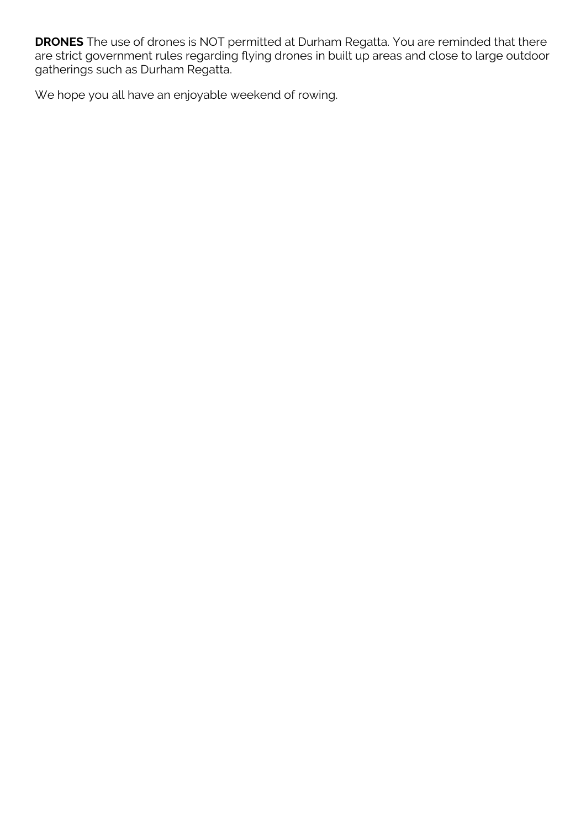**DRONES** The use of drones is NOT permitted at Durham Regatta. You are reminded that there are strict government rules regarding flying drones in built up areas and close to large outdoor gatherings such as Durham Regatta.

We hope you all have an enjoyable weekend of rowing.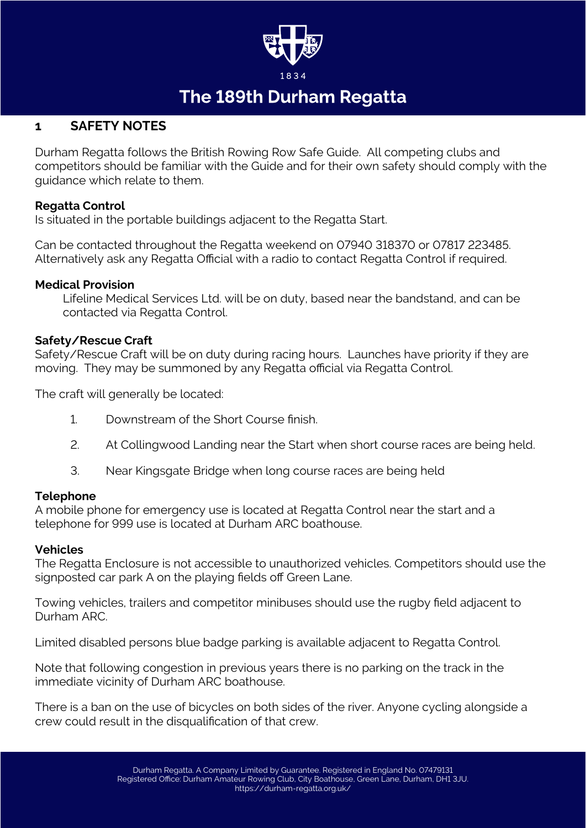

# The 189th Durham Regatta

# **1 SAFETY NOTES**

Durham Regatta follows the British Rowing Row Safe Guide. All competing clubs and competitors should be familiar with the Guide and for their own safety should comply with the guidance which relate to them.

#### **Regatta Control**

Is situated in the portable buildings adjacent to the Regatta Start.

Can be contacted throughout the Regatta weekend on 07940 318370 or 07817 223485. Alternatively ask any Regatta Official with a radio to contact Regatta Control if required.

#### **Medical Provision**

Lifeline Medical Services Ltd. will be on duty, based near the bandstand, and can be contacted via Regatta Control.

#### **Safety/Rescue Craft**

Safety/Rescue Craft will be on duty during racing hours. Launches have priority if they are moving. They may be summoned by any Regatta official via Regatta Control.

The craft will generally be located:

- 1. Downstream of the Short Course finish.
- 2. At Collingwood Landing near the Start when short course races are being held.
- 3. Near Kingsgate Bridge when long course races are being held

## **Telephone**

A mobile phone for emergency use is located at Regatta Control near the start and a telephone for 999 use is located at Durham ARC boathouse.

## **Vehicles**

The Regatta Enclosure is not accessible to unauthorized vehicles. Competitors should use the signposted car park A on the playing fields off Green Lane.

Towing vehicles, trailers and competitor minibuses should use the rugby field adjacent to Durham ARC.

Limited disabled persons blue badge parking is available adjacent to Regatta Control.

Note that following congestion in previous years there is no parking on the track in the immediate vicinity of Durham ARC boathouse.

There is a ban on the use of bicycles on both sides of the river. Anyone cycling alongside a crew could result in the disqualification of that crew.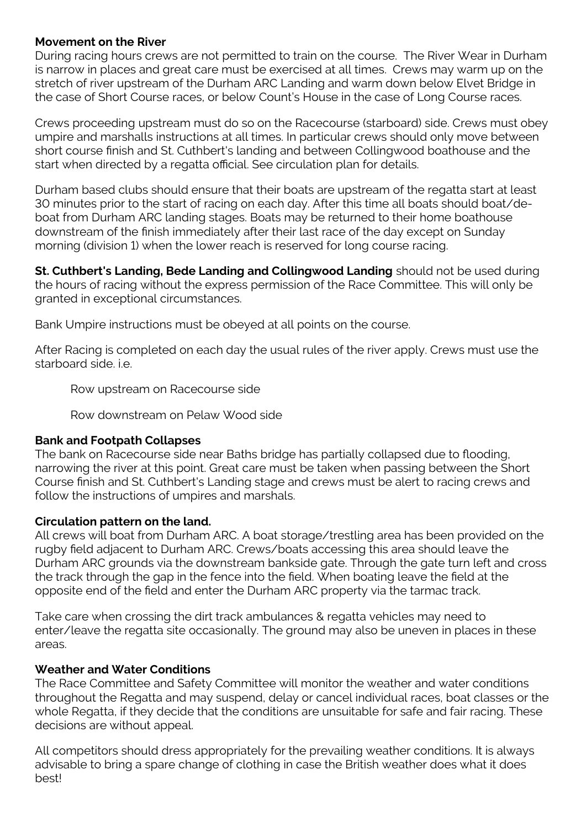### **Movement on the River**

During racing hours crews are not permitted to train on the course. The River Wear in Durham is narrow in places and great care must be exercised at all times. Crews may warm up on the stretch of river upstream of the Durham ARC Landing and warm down below Elvet Bridge in the case of Short Course races, or below Count's House in the case of Long Course races.

Crews proceeding upstream must do so on the Racecourse (starboard) side. Crews must obey umpire and marshalls instructions at all times. In particular crews should only move between short course finish and St. Cuthbert's landing and between Collingwood boathouse and the start when directed by a regatta official. See circulation plan for details.

Durham based clubs should ensure that their boats are upstream of the regatta start at least 30 minutes prior to the start of racing on each day. After this time all boats should boat/deboat from Durham ARC landing stages. Boats may be returned to their home boathouse downstream of the finish immediately after their last race of the day except on Sunday morning (division 1) when the lower reach is reserved for long course racing.

**St. Cuthbert's Landing, Bede Landing and Collingwood Landing** should not be used during the hours of racing without the express permission of the Race Committee. This will only be granted in exceptional circumstances.

Bank Umpire instructions must be obeyed at all points on the course.

After Racing is completed on each day the usual rules of the river apply. Crews must use the starboard side. i.e.

Row upstream on Racecourse side

Row downstream on Pelaw Wood side

#### **Bank and Footpath Collapses**

The bank on Racecourse side near Baths bridge has partially collapsed due to flooding, narrowing the river at this point. Great care must be taken when passing between the Short Course finish and St. Cuthbert's Landing stage and crews must be alert to racing crews and follow the instructions of umpires and marshals.

#### **Circulation pattern on the land.**

All crews will boat from Durham ARC. A boat storage/trestling area has been provided on the rugby field adjacent to Durham ARC. Crews/boats accessing this area should leave the Durham ARC grounds via the downstream bankside gate. Through the gate turn left and cross the track through the gap in the fence into the field. When boating leave the field at the opposite end of the field and enter the Durham ARC property via the tarmac track.

Take care when crossing the dirt track ambulances & regatta vehicles may need to enter/leave the regatta site occasionally. The ground may also be uneven in places in these areas.

#### **Weather and Water Conditions**

The Race Committee and Safety Committee will monitor the weather and water conditions throughout the Regatta and may suspend, delay or cancel individual races, boat classes or the whole Regatta, if they decide that the conditions are unsuitable for safe and fair racing. These decisions are without appeal.

All competitors should dress appropriately for the prevailing weather conditions. It is always advisable to bring a spare change of clothing in case the British weather does what it does best!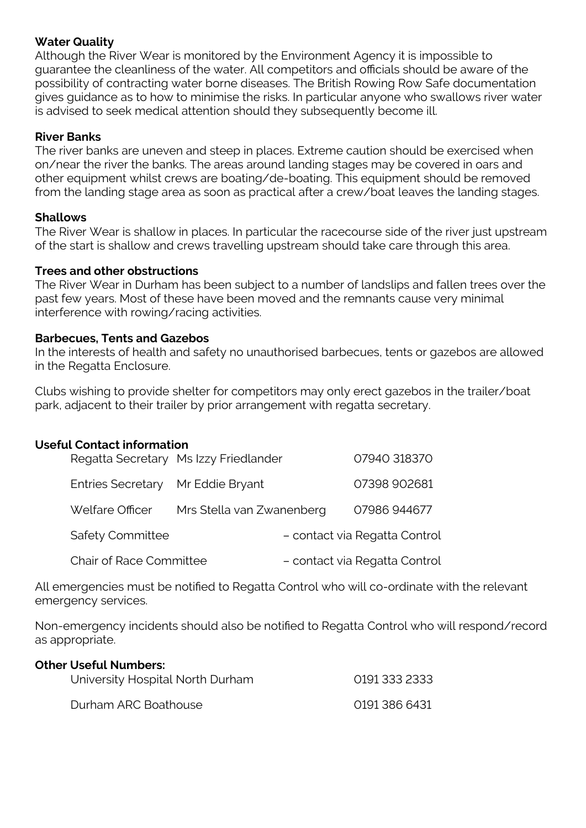### **Water Quality**

Although the River Wear is monitored by the Environment Agency it is impossible to guarantee the cleanliness of the water. All competitors and officials should be aware of the possibility of contracting water borne diseases. The British Rowing Row Safe documentation gives guidance as to how to minimise the risks. In particular anyone who swallows river water is advised to seek medical attention should they subsequently become ill.

### **River Banks**

The river banks are uneven and steep in places. Extreme caution should be exercised when on/near the river the banks. The areas around landing stages may be covered in oars and other equipment whilst crews are boating/de-boating. This equipment should be removed from the landing stage area as soon as practical after a crew/boat leaves the landing stages.

#### **Shallows**

The River Wear is shallow in places. In particular the racecourse side of the river just upstream of the start is shallow and crews travelling upstream should take care through this area.

#### **Trees and other obstructions**

The River Wear in Durham has been subject to a number of landslips and fallen trees over the past few years. Most of these have been moved and the remnants cause very minimal interference with rowing/racing activities.

### **Barbecues, Tents and Gazebos**

In the interests of health and safety no unauthorised barbecues, tents or gazebos are allowed in the Regatta Enclosure.

Clubs wishing to provide shelter for competitors may only erect gazebos in the trailer/boat park, adjacent to their trailer by prior arrangement with regatta secretary.

#### **Useful Contact information**

|                                   | Regatta Secretary Ms Izzy Friedlander | 07940 318370                  |
|-----------------------------------|---------------------------------------|-------------------------------|
| Entries Secretary Mr Eddie Bryant |                                       | 07398 902681                  |
| Welfare Officer                   | Mrs Stella van Zwanenberg             | 07986 944677                  |
| <b>Safety Committee</b>           |                                       | - contact via Regatta Control |
| <b>Chair of Race Committee</b>    |                                       | - contact via Regatta Control |

All emergencies must be notified to Regatta Control who will co-ordinate with the relevant emergency services.

Non-emergency incidents should also be notified to Regatta Control who will respond/record as appropriate.

| <b>Other Useful Numbers:</b><br>University Hospital North Durham | 0191 333 2333 |
|------------------------------------------------------------------|---------------|
| Durham ARC Boathouse                                             | 0191 386 6431 |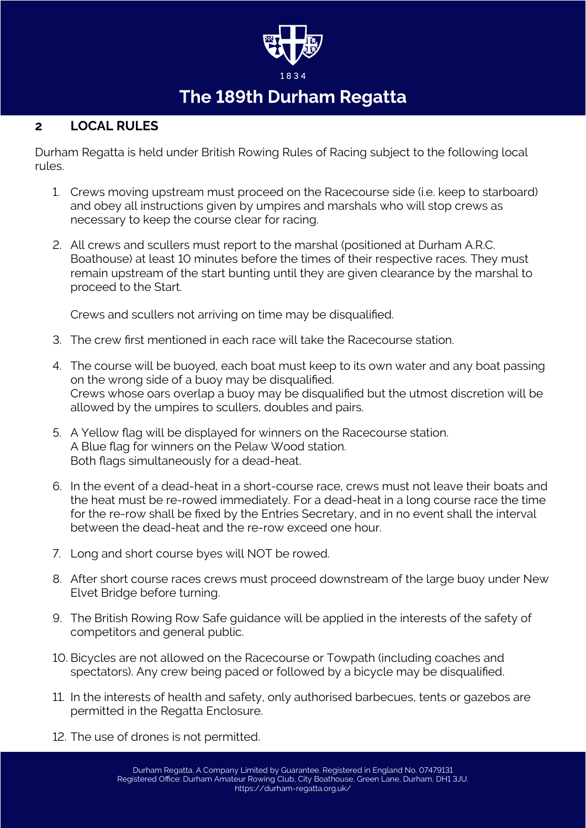

# The 189th Durham Regatta

# **2 LOCAL RULES**

Durham Regatta is held under British Rowing Rules of Racing subject to the following local rules.

- 1. Crews moving upstream must proceed on the Racecourse side (i.e. keep to starboard) and obey all instructions given by umpires and marshals who will stop crews as necessary to keep the course clear for racing.
- 2. All crews and scullers must report to the marshal (positioned at Durham A.R.C. Boathouse) at least 10 minutes before the times of their respective races. They must remain upstream of the start bunting until they are given clearance by the marshal to proceed to the Start.

Crews and scullers not arriving on time may be disqualified.

- 3. The crew first mentioned in each race will take the Racecourse station.
- 4. The course will be buoyed, each boat must keep to its own water and any boat passing on the wrong side of a buoy may be disqualified. Crews whose oars overlap a buoy may be disqualified but the utmost discretion will be allowed by the umpires to scullers, doubles and pairs.
- 5. A Yellow flag will be displayed for winners on the Racecourse station. A Blue flag for winners on the Pelaw Wood station. Both flags simultaneously for a dead-heat.
- 6. In the event of a dead-heat in a short-course race, crews must not leave their boats and the heat must be re-rowed immediately. For a dead-heat in a long course race the time for the re-row shall be fixed by the Entries Secretary, and in no event shall the interval between the dead-heat and the re-row exceed one hour.
- 7. Long and short course byes will NOT be rowed.
- 8. After short course races crews must proceed downstream of the large buoy under New Elvet Bridge before turning.
- 9. The British Rowing Row Safe guidance will be applied in the interests of the safety of competitors and general public.
- 10. Bicycles are not allowed on the Racecourse or Towpath (including coaches and spectators). Any crew being paced or followed by a bicycle may be disqualified.
- 11. In the interests of health and safety, only authorised barbecues, tents or gazebos are permitted in the Regatta Enclosure.
- 12. The use of drones is not permitted.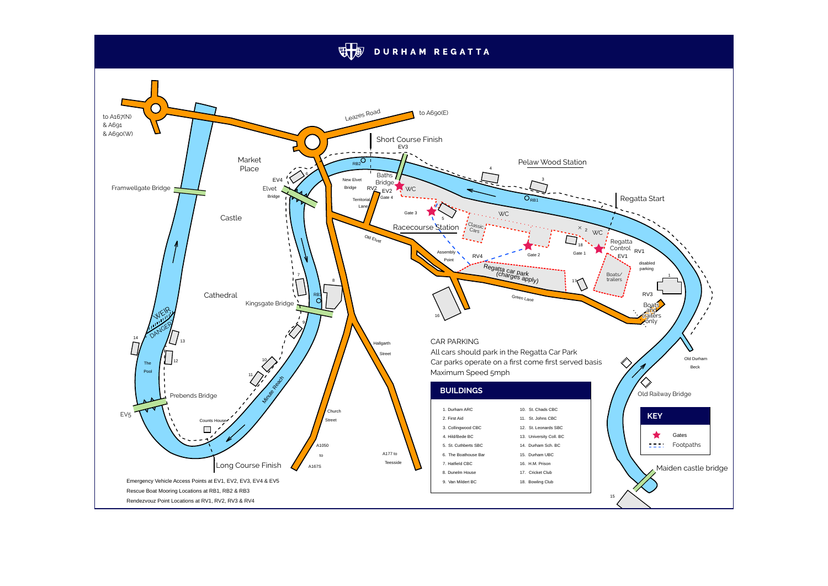# **WE DURHAM REGATTA**

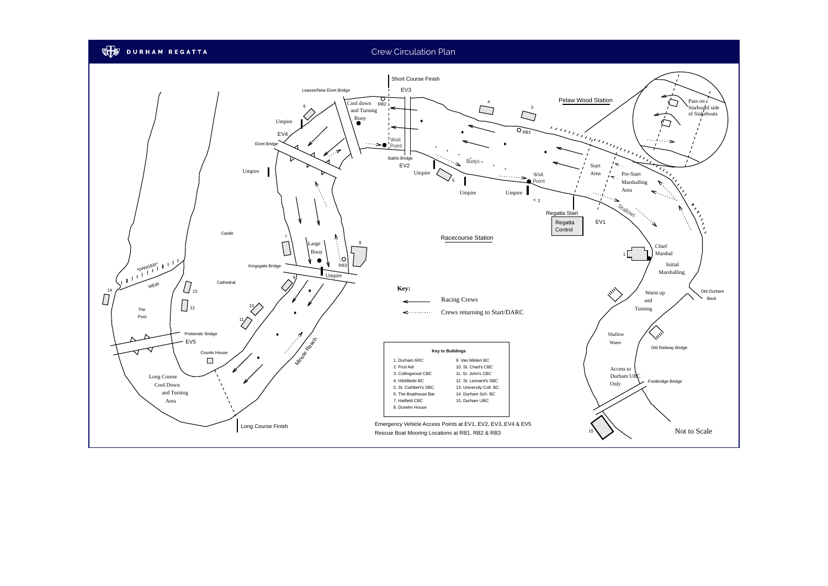